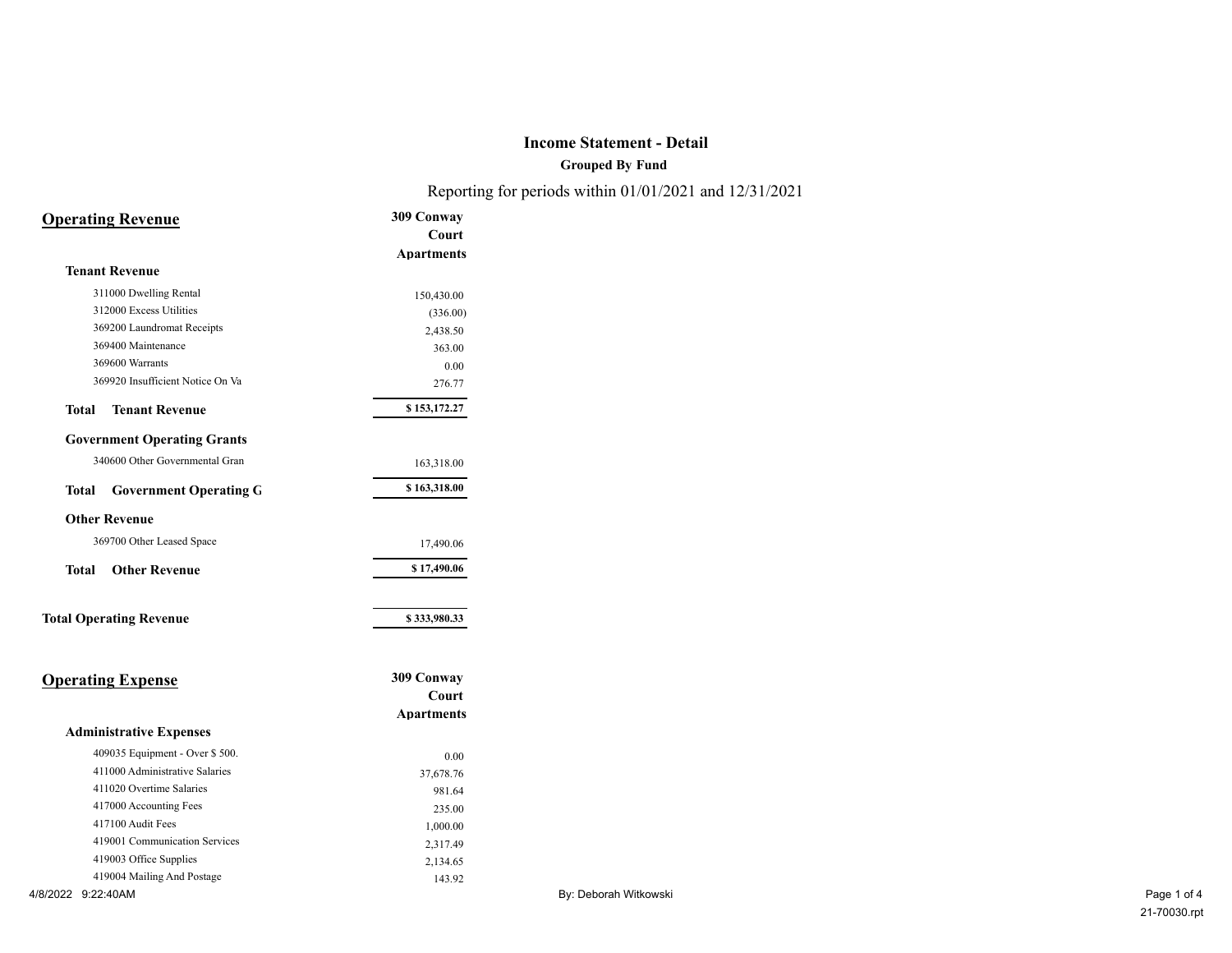**Grouped By Fund**

Reporting for periods within 01/01/2021 and 12/31/2021

|                          | <b>Operating Revenue</b>           | 309 Conway        |
|--------------------------|------------------------------------|-------------------|
|                          |                                    | Court             |
|                          |                                    | <b>Apartments</b> |
|                          | <b>Tenant Revenue</b>              |                   |
|                          | 311000 Dwelling Rental             | 150,430.00        |
|                          | 312000 Excess Utilities            | (336.00)          |
|                          | 369200 Laundromat Receipts         | 2,438.50          |
|                          | 369400 Maintenance                 | 363.00            |
|                          | 369600 Warrants                    | 0.00              |
|                          | 369920 Insufficient Notice On Va   | 276.77            |
| <b>Total</b>             | <b>Tenant Revenue</b>              | \$153,172.27      |
|                          | <b>Government Operating Grants</b> |                   |
|                          | 340600 Other Governmental Gran     | 163,318.00        |
| Total                    | <b>Government Operating G</b>      | \$163,318.00      |
|                          | <b>Other Revenue</b>               |                   |
|                          | 369700 Other Leased Space          | 17,490.06         |
| <b>Total</b>             | <b>Other Revenue</b>               | \$17,490.06       |
|                          | <b>Total Operating Revenue</b>     | \$333,980.33      |
|                          |                                    |                   |
| <b>Operating Expense</b> |                                    | 309 Conway        |
|                          |                                    | Court             |
|                          |                                    | <b>Apartments</b> |
|                          | <b>Administrative Expenses</b>     |                   |
|                          | 409035 Equipment - Over \$500.     | 0.00              |
|                          | 411000 Administrative Salaries     | 37,678.76         |
|                          | 411020 Overtime Salaries           | 981.64            |
|                          | 417000 Accounting Fees             | 235.00            |
|                          | 417100 Audit Fees                  | 1,000.00          |
|                          | 419001 Communication Services      | 2,317.49          |
|                          | 419003 Office Supplies             | 2,134.65          |
|                          | 419004 Mailing And Postage         | 143.92            |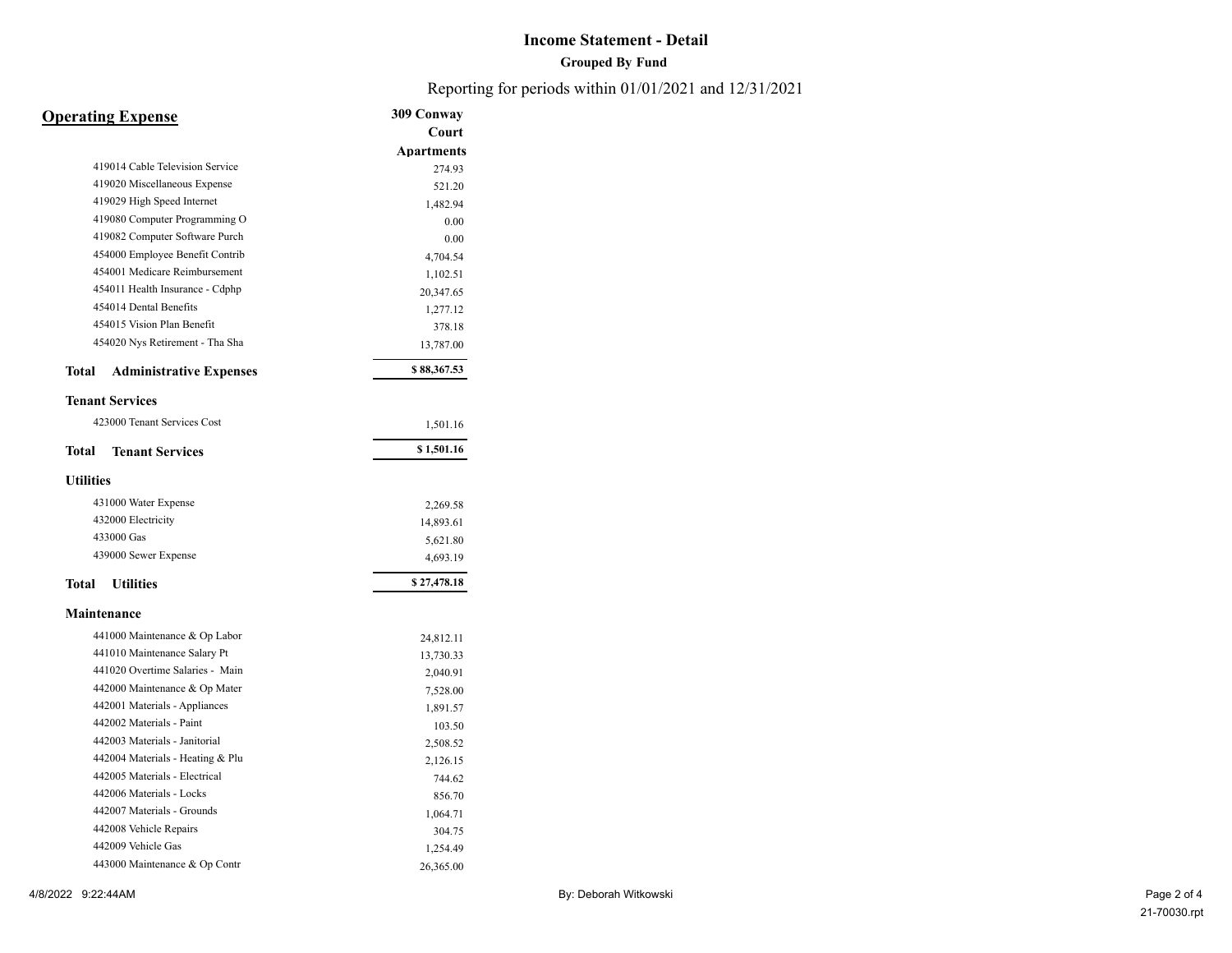### **Grouped By Fund**

Reporting for periods within 01/01/2021 and 12/31/2021

| <b>Operating Expense</b>                | 309 Conway        |
|-----------------------------------------|-------------------|
|                                         | Court             |
|                                         | <b>Apartments</b> |
| 419014 Cable Television Service         | 274.93            |
| 419020 Miscellaneous Expense            | 521.20            |
| 419029 High Speed Internet              | 1,482.94          |
| 419080 Computer Programming O           | 0.00              |
| 419082 Computer Software Purch          | 0.00              |
| 454000 Employee Benefit Contrib         | 4,704.54          |
| 454001 Medicare Reimbursement           | 1,102.51          |
| 454011 Health Insurance - Cdphp         | 20,347.65         |
| 454014 Dental Benefits                  | 1,277.12          |
| 454015 Vision Plan Benefit              | 378.18            |
| 454020 Nys Retirement - Tha Sha         | 13,787.00         |
| Total<br><b>Administrative Expenses</b> | \$88,367.53       |
| <b>Tenant Services</b>                  |                   |
| 423000 Tenant Services Cost             | 1,501.16          |
| <b>Tenant Services</b><br>Total         | \$1,501.16        |
| <b>Utilities</b>                        |                   |
| 431000 Water Expense                    | 2,269.58          |
| 432000 Electricity                      | 14,893.61         |
| 433000 Gas                              | 5,621.80          |
| 439000 Sewer Expense                    | 4,693.19          |
| Total<br><b>Utilities</b>               | \$27,478.18       |
| <b>Maintenance</b>                      |                   |
| 441000 Maintenance & Op Labor           | 24,812.11         |
| 441010 Maintenance Salary Pt            | 13,730.33         |
| 441020 Overtime Salaries - Main         | 2,040.91          |
| 442000 Maintenance & Op Mater           | 7,528.00          |
| 442001 Materials - Appliances           | 1,891.57          |
| 442002 Materials - Paint                | 103.50            |
| 442003 Materials - Janitorial           | 2,508.52          |
| 442004 Materials - Heating & Plu        | 2,126.15          |
| 442005 Materials - Electrical           | 744.62            |
| 442006 Materials - Locks                | 856.70            |
| 442007 Materials - Grounds              | 1,064.71          |
| 442008 Vehicle Repairs                  | 304.75            |
| 442009 Vehicle Gas                      | 1,254.49          |

443000 Maintenance & Op Contr 26,365.00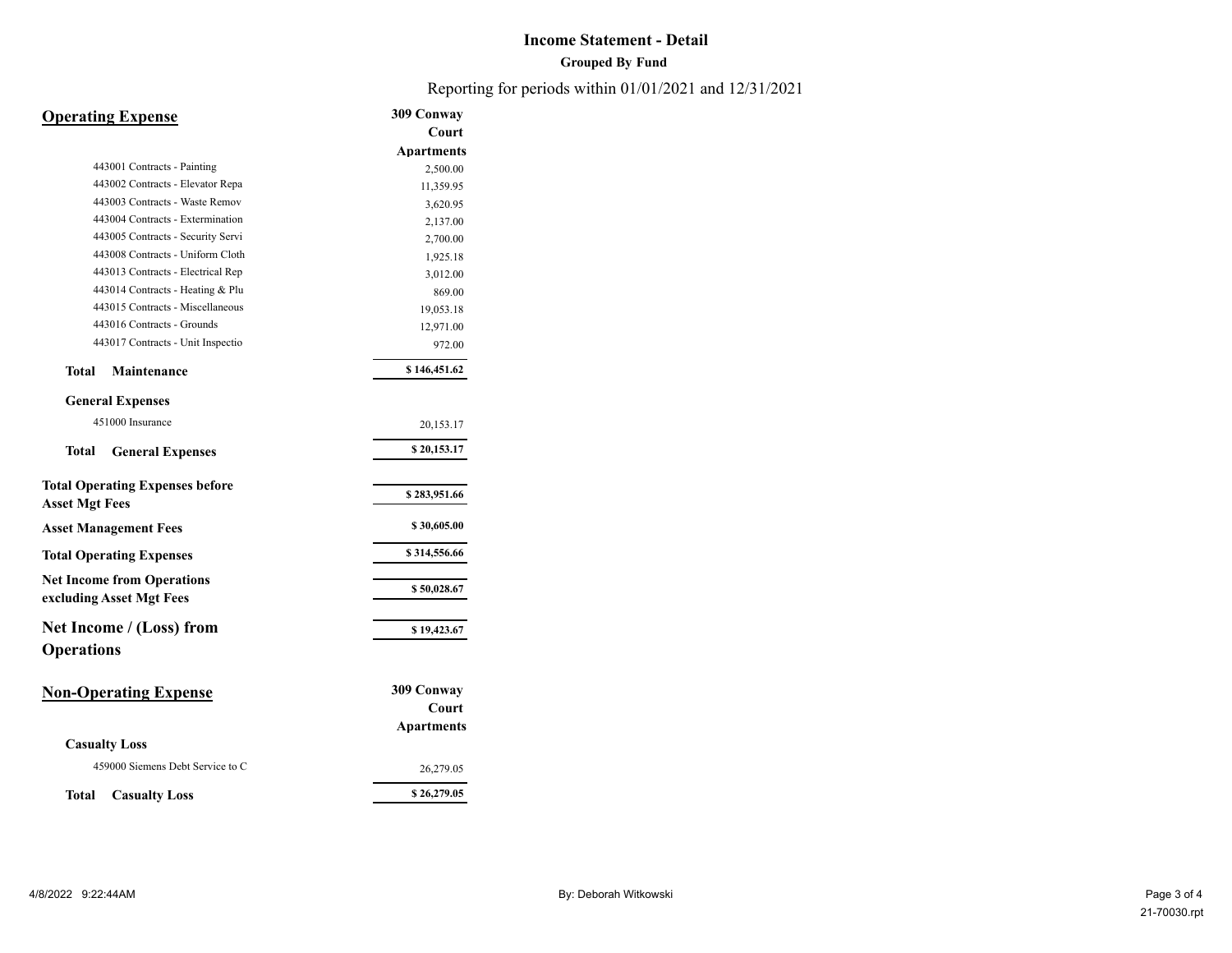#### **Grouped By Fund**

Reporting for periods within 01/01/2021 and 12/31/2021

# **Operating Expense 309 Conway**

|                                        | Court             |
|----------------------------------------|-------------------|
|                                        | <b>Apartments</b> |
| 443001 Contracts - Painting            | 2,500.00          |
| 443002 Contracts - Elevator Repa       | 11,359.95         |
| 443003 Contracts - Waste Remov         | 3,620.95          |
| 443004 Contracts - Extermination       | 2,137.00          |
| 443005 Contracts - Security Servi      | 2,700.00          |
| 443008 Contracts - Uniform Cloth       | 1,925.18          |
| 443013 Contracts - Electrical Rep      | 3,012.00          |
| 443014 Contracts - Heating & Plu       | 869.00            |
| 443015 Contracts - Miscellaneous       | 19,053.18         |
| 443016 Contracts - Grounds             | 12,971.00         |
| 443017 Contracts - Unit Inspectio      | 972.00            |
| Total<br><b>Maintenance</b>            | \$146,451.62      |
| <b>General Expenses</b>                |                   |
| 451000 Insurance                       | 20,153.17         |
| Total<br><b>General Expenses</b>       | \$20,153.17       |
| <b>Total Operating Expenses before</b> |                   |
| <b>Asset Mgt Fees</b>                  | \$283,951.66      |
| <b>Asset Management Fees</b>           | \$30,605.00       |
| <b>Total Operating Expenses</b>        | \$314,556.66      |
| <b>Net Income from Operations</b>      | \$50,028.67       |
| excluding Asset Mgt Fees               |                   |
| Net Income / (Loss) from               | \$19,423.67       |
| <b>Operations</b>                      |                   |
| <b>Non-Operating Expense</b>           | 309 Conway        |
|                                        | Court             |
|                                        | <b>Apartments</b> |
| <b>Casualty Loss</b>                   |                   |
| 459000 Siemens Debt Service to C       | 26,279.05         |
| Total<br><b>Casualty Loss</b>          | \$26,279.05       |
|                                        |                   |